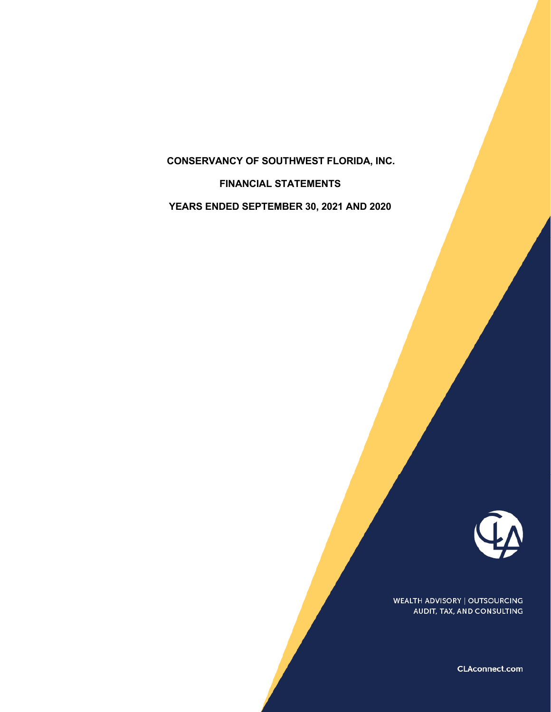# **CONSERVANCY OF SOUTHWEST FLORIDA, INC.**

# **FINANCIAL STATEMENTS**

# **YEARS ENDED SEPTEMBER 30, 2021 AND 2020**



WEALTH ADVISORY | OUTSOURCING AUDIT, TAX, AND CONSULTING

CLAconnect.com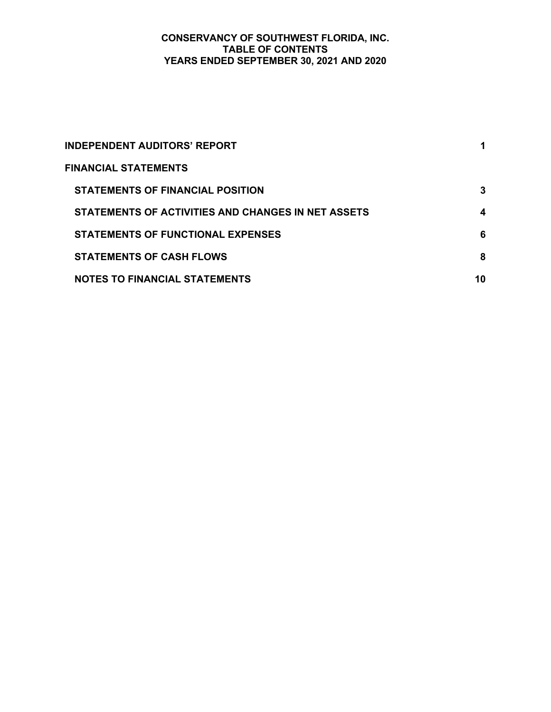### **CONSERVANCY OF SOUTHWEST FLORIDA, INC. TABLE OF CONTENTS YEARS ENDED SEPTEMBER 30, 2021 AND 2020**

| INDEPENDENT AUDITORS' REPORT                       |    |
|----------------------------------------------------|----|
| <b>FINANCIAL STATEMENTS</b>                        |    |
| <b>STATEMENTS OF FINANCIAL POSITION</b>            | 3  |
| STATEMENTS OF ACTIVITIES AND CHANGES IN NET ASSETS | 4  |
| <b>STATEMENTS OF FUNCTIONAL EXPENSES</b>           | 6  |
| <b>STATEMENTS OF CASH FLOWS</b>                    | 8  |
| <b>NOTES TO FINANCIAL STATEMENTS</b>               | 10 |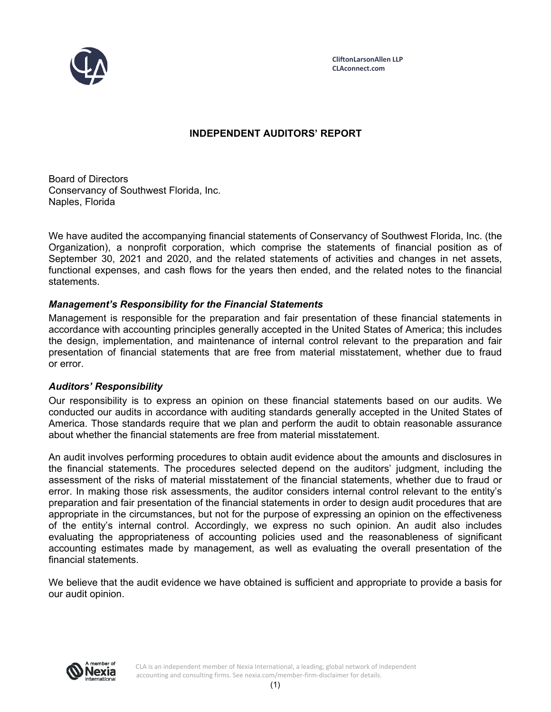

**CliftonLarsonAllen LLP CLAconnect.com**

# **INDEPENDENT AUDITORS' REPORT**

Board of Directors Conservancy of Southwest Florida, Inc. Naples, Florida

We have audited the accompanying financial statements of Conservancy of Southwest Florida, Inc. (the Organization), a nonprofit corporation, which comprise the statements of financial position as of September 30, 2021 and 2020, and the related statements of activities and changes in net assets, functional expenses, and cash flows for the years then ended, and the related notes to the financial statements.

# *Management's Responsibility for the Financial Statements*

Management is responsible for the preparation and fair presentation of these financial statements in accordance with accounting principles generally accepted in the United States of America; this includes the design, implementation, and maintenance of internal control relevant to the preparation and fair presentation of financial statements that are free from material misstatement, whether due to fraud or error.

### *Auditors' Responsibility*

Our responsibility is to express an opinion on these financial statements based on our audits. We conducted our audits in accordance with auditing standards generally accepted in the United States of America. Those standards require that we plan and perform the audit to obtain reasonable assurance about whether the financial statements are free from material misstatement.

An audit involves performing procedures to obtain audit evidence about the amounts and disclosures in the financial statements. The procedures selected depend on the auditors' judgment, including the assessment of the risks of material misstatement of the financial statements, whether due to fraud or error. In making those risk assessments, the auditor considers internal control relevant to the entity's preparation and fair presentation of the financial statements in order to design audit procedures that are appropriate in the circumstances, but not for the purpose of expressing an opinion on the effectiveness of the entity's internal control. Accordingly, we express no such opinion. An audit also includes evaluating the appropriateness of accounting policies used and the reasonableness of significant accounting estimates made by management, as well as evaluating the overall presentation of the financial statements.

We believe that the audit evidence we have obtained is sufficient and appropriate to provide a basis for our audit opinion.

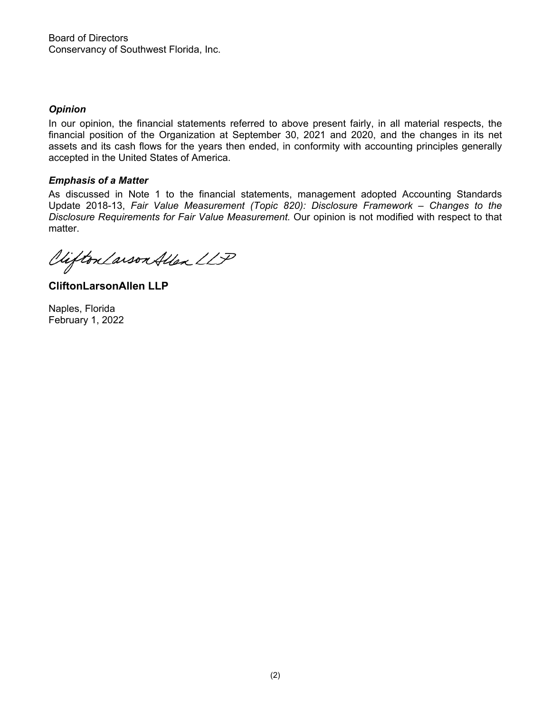# *Opinion*

In our opinion, the financial statements referred to above present fairly, in all material respects, the financial position of the Organization at September 30, 2021 and 2020, and the changes in its net assets and its cash flows for the years then ended, in conformity with accounting principles generally accepted in the United States of America.

# *Emphasis of a Matter*

As discussed in Note 1 to the financial statements, management adopted Accounting Standards Update 2018-13, *Fair Value Measurement (Topic 820): Disclosure Framework – Changes to the Disclosure Requirements for Fair Value Measurement.* Our opinion is not modified with respect to that matter.

Viifton Larson Allen LLP

**CliftonLarsonAllen LLP** 

Naples, Florida February 1, 2022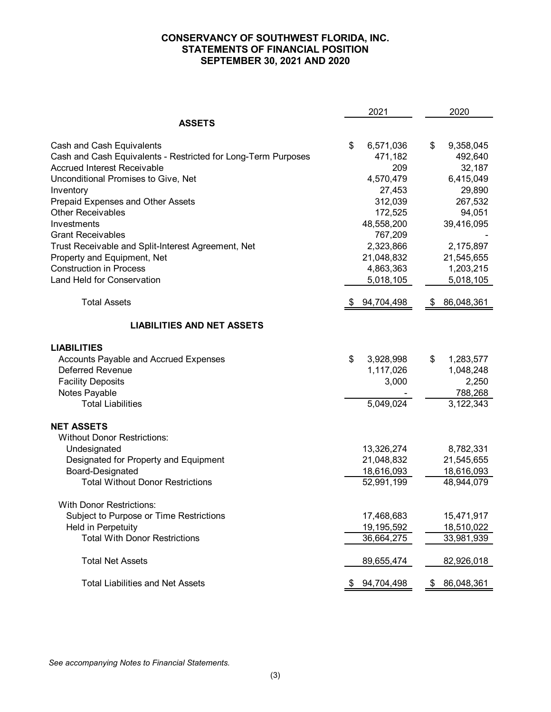### **CONSERVANCY OF SOUTHWEST FLORIDA, INC. STATEMENTS OF FINANCIAL POSITION SEPTEMBER 30, 2021 AND 2020**

|                                                               | 2021            | 2020             |
|---------------------------------------------------------------|-----------------|------------------|
| <b>ASSETS</b>                                                 |                 |                  |
| Cash and Cash Equivalents                                     | \$<br>6,571,036 | \$<br>9,358,045  |
| Cash and Cash Equivalents - Restricted for Long-Term Purposes | 471,182         | 492,640          |
| <b>Accrued Interest Receivable</b>                            | 209             | 32,187           |
| Unconditional Promises to Give, Net                           | 4,570,479       | 6,415,049        |
| Inventory                                                     | 27,453          | 29,890           |
| Prepaid Expenses and Other Assets                             | 312,039         | 267,532          |
| <b>Other Receivables</b>                                      | 172,525         | 94,051           |
| Investments                                                   | 48,558,200      | 39,416,095       |
| <b>Grant Receivables</b>                                      | 767,209         |                  |
| Trust Receivable and Split-Interest Agreement, Net            | 2,323,866       | 2,175,897        |
| Property and Equipment, Net                                   | 21,048,832      | 21,545,655       |
| <b>Construction in Process</b>                                | 4,863,363       | 1,203,215        |
| Land Held for Conservation                                    | 5,018,105       | 5,018,105        |
| <b>Total Assets</b>                                           | 94,704,498      | 86,048,361<br>\$ |
| <b>LIABILITIES AND NET ASSETS</b>                             |                 |                  |
| <b>LIABILITIES</b>                                            |                 |                  |
| Accounts Payable and Accrued Expenses                         | \$<br>3,928,998 | \$<br>1,283,577  |
| <b>Deferred Revenue</b>                                       | 1,117,026       | 1,048,248        |
| <b>Facility Deposits</b>                                      | 3,000           | 2,250            |
| Notes Payable                                                 |                 | 788,268          |
| <b>Total Liabilities</b>                                      | 5,049,024       | 3,122,343        |
| <b>NET ASSETS</b>                                             |                 |                  |
| <b>Without Donor Restrictions:</b>                            |                 |                  |
| Undesignated                                                  | 13,326,274      | 8,782,331        |
| Designated for Property and Equipment                         | 21,048,832      | 21,545,655       |
| Board-Designated                                              | 18,616,093      | 18,616,093       |
| <b>Total Without Donor Restrictions</b>                       | 52,991,199      | 48,944,079       |
| <b>With Donor Restrictions:</b>                               |                 |                  |
| Subject to Purpose or Time Restrictions                       | 17,468,683      | 15,471,917       |
| Held in Perpetuity                                            | 19,195,592      | 18,510,022       |
| <b>Total With Donor Restrictions</b>                          | 36,664,275      | 33,981,939       |
| <b>Total Net Assets</b>                                       | 89,655,474      | 82,926,018       |
| <b>Total Liabilities and Net Assets</b>                       | 94,704,498      | 86,048,361       |

*See accompanying Notes to Financial Statements.*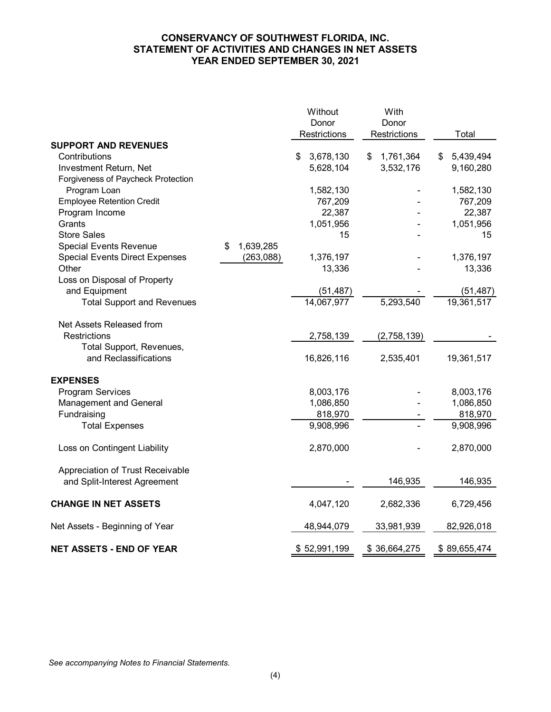### **CONSERVANCY OF SOUTHWEST FLORIDA, INC. STATEMENT OF ACTIVITIES AND CHANGES IN NET ASSETS YEAR ENDED SEPTEMBER 30, 2021**

|                                       |                 | Without         | With           |                  |
|---------------------------------------|-----------------|-----------------|----------------|------------------|
|                                       |                 | Donor           | Donor          |                  |
|                                       |                 | Restrictions    | Restrictions   | Total            |
| <b>SUPPORT AND REVENUES</b>           |                 |                 |                |                  |
| Contributions                         |                 | \$<br>3,678,130 | 1,761,364<br>S | 5,439,494<br>\$. |
| Investment Return, Net                |                 | 5,628,104       | 3,532,176      | 9,160,280        |
| Forgiveness of Paycheck Protection    |                 |                 |                |                  |
| Program Loan                          |                 | 1,582,130       |                | 1,582,130        |
| <b>Employee Retention Credit</b>      |                 | 767,209         |                | 767,209          |
| Program Income                        |                 | 22,387          |                | 22,387           |
| Grants                                |                 | 1,051,956       |                | 1,051,956        |
| <b>Store Sales</b>                    |                 | 15              |                | 15               |
| <b>Special Events Revenue</b>         | 1,639,285<br>\$ |                 |                |                  |
| <b>Special Events Direct Expenses</b> | (263,088)       | 1,376,197       |                | 1,376,197        |
| Other                                 |                 | 13,336          |                | 13,336           |
| Loss on Disposal of Property          |                 |                 |                |                  |
| and Equipment                         |                 | (51, 487)       |                | (51, 487)        |
| <b>Total Support and Revenues</b>     |                 | 14,067,977      | 5,293,540      | 19,361,517       |
|                                       |                 |                 |                |                  |
| Net Assets Released from              |                 |                 |                |                  |
| Restrictions                          |                 | 2,758,139       | (2,758,139)    |                  |
| Total Support, Revenues,              |                 |                 |                |                  |
| and Reclassifications                 |                 | 16,826,116      | 2,535,401      | 19,361,517       |
| <b>EXPENSES</b>                       |                 |                 |                |                  |
| Program Services                      |                 | 8,003,176       |                | 8,003,176        |
| Management and General                |                 | 1,086,850       |                | 1,086,850        |
| Fundraising                           |                 | 818,970         |                | 818,970          |
| <b>Total Expenses</b>                 |                 | 9,908,996       |                | 9,908,996        |
| Loss on Contingent Liability          |                 | 2,870,000       |                | 2,870,000        |
|                                       |                 |                 |                |                  |
| Appreciation of Trust Receivable      |                 |                 |                |                  |
| and Split-Interest Agreement          |                 |                 | 146,935        | 146,935          |
|                                       |                 |                 |                |                  |
| <b>CHANGE IN NET ASSETS</b>           |                 | 4,047,120       | 2,682,336      | 6,729,456        |
| Net Assets - Beginning of Year        |                 | 48,944,079      | 33,981,939     | 82,926,018       |
|                                       |                 |                 |                |                  |
| <b>NET ASSETS - END OF YEAR</b>       |                 | \$52,991,199    | \$36,664,275   | \$89,655,474     |

*See accompanying Notes to Financial Statements.*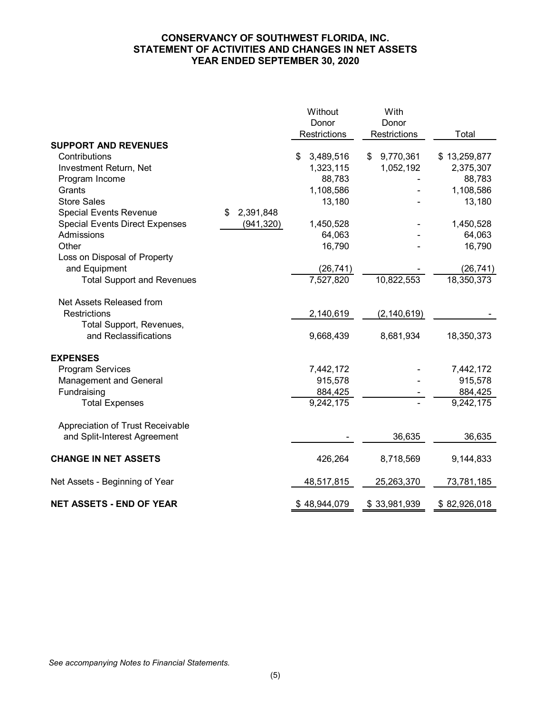### **CONSERVANCY OF SOUTHWEST FLORIDA, INC. STATEMENT OF ACTIVITIES AND CHANGES IN NET ASSETS YEAR ENDED SEPTEMBER 30, 2020**

|                                       |                 | Without         | With            |              |
|---------------------------------------|-----------------|-----------------|-----------------|--------------|
|                                       |                 | Donor           | Donor           |              |
|                                       |                 | Restrictions    | Restrictions    | Total        |
| <b>SUPPORT AND REVENUES</b>           |                 |                 |                 |              |
| Contributions                         |                 | \$<br>3,489,516 | 9,770,361<br>\$ | \$13,259,877 |
| Investment Return, Net                |                 | 1,323,115       | 1,052,192       | 2,375,307    |
| Program Income                        |                 | 88,783          |                 | 88,783       |
| Grants                                |                 | 1,108,586       |                 | 1,108,586    |
| <b>Store Sales</b>                    |                 | 13,180          |                 | 13,180       |
| <b>Special Events Revenue</b>         | \$<br>2,391,848 |                 |                 |              |
| <b>Special Events Direct Expenses</b> | (941, 320)      | 1,450,528       |                 | 1,450,528    |
| Admissions                            |                 | 64,063          |                 | 64,063       |
| Other                                 |                 | 16,790          |                 | 16,790       |
| Loss on Disposal of Property          |                 |                 |                 |              |
| and Equipment                         |                 | (26, 741)       |                 | (26, 741)    |
| <b>Total Support and Revenues</b>     |                 | 7,527,820       | 10,822,553      | 18,350,373   |
| Net Assets Released from              |                 |                 |                 |              |
| Restrictions                          |                 | 2,140,619       | (2, 140, 619)   |              |
| Total Support, Revenues,              |                 |                 |                 |              |
| and Reclassifications                 |                 | 9,668,439       | 8,681,934       | 18,350,373   |
| <b>EXPENSES</b>                       |                 |                 |                 |              |
| <b>Program Services</b>               |                 | 7,442,172       |                 | 7,442,172    |
| <b>Management and General</b>         |                 | 915,578         |                 | 915,578      |
| Fundraising                           |                 | 884,425         |                 | 884,425      |
| <b>Total Expenses</b>                 |                 | 9,242,175       |                 | 9,242,175    |
| Appreciation of Trust Receivable      |                 |                 |                 |              |
| and Split-Interest Agreement          |                 |                 | 36,635          | 36,635       |
| <b>CHANGE IN NET ASSETS</b>           |                 | 426,264         | 8,718,569       | 9,144,833    |
| Net Assets - Beginning of Year        |                 | 48,517,815      | 25,263,370      | 73,781,185   |
| <b>NET ASSETS - END OF YEAR</b>       |                 | \$48,944,079    | \$33,981,939    | \$82,926,018 |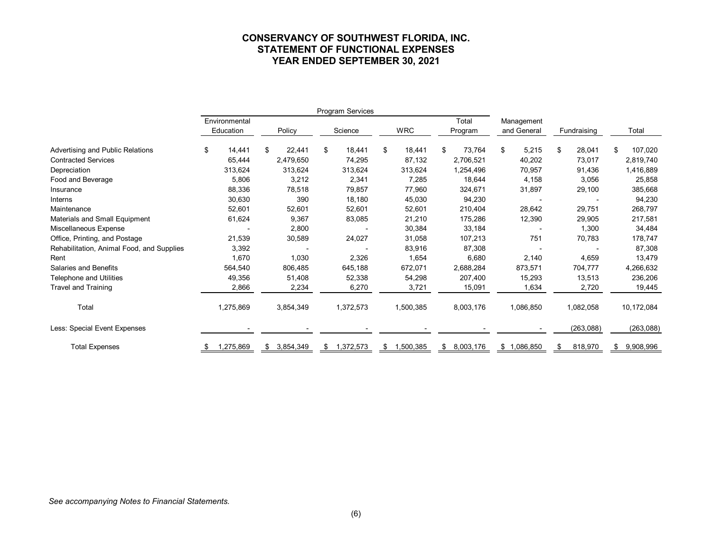### **CONSERVANCY OF SOUTHWEST FLORIDA, INC. STATEMENT OF FUNCTIONAL EXPENSES YEAR ENDED SEPTEMBER 30, 2021**

|                                           | Program Services |        |                 |    |           |    |            |                 |             |               |                 |
|-------------------------------------------|------------------|--------|-----------------|----|-----------|----|------------|-----------------|-------------|---------------|-----------------|
|                                           | Environmental    |        |                 |    |           |    |            | Total           | Management  |               |                 |
|                                           | Education        |        | Policy          |    | Science   |    | <b>WRC</b> | Program         | and General | Fundraising   | Total           |
| Advertising and Public Relations          | \$<br>14,441     |        | 22,441<br>\$    | \$ | 18,441    | \$ | 18,441     | \$<br>73,764    | \$<br>5,215 | \$<br>28,041  | \$<br>107,020   |
| <b>Contracted Services</b>                | 65,444           |        | 2,479,650       |    | 74,295    |    | 87,132     | 2,706,521       | 40,202      | 73,017        | 2,819,740       |
| Depreciation                              | 313,624          |        | 313,624         |    | 313,624   |    | 313,624    | 1,254,496       | 70,957      | 91,436        | 1,416,889       |
| Food and Beverage                         |                  | 5,806  | 3,212           |    | 2,341     |    | 7,285      | 18,644          | 4,158       | 3,056         | 25,858          |
| Insurance                                 |                  | 88,336 | 78,518          |    | 79,857    |    | 77,960     | 324,671         | 31,897      | 29,100        | 385,668         |
| Interns                                   |                  | 30,630 | 390             |    | 18,180    |    | 45,030     | 94,230          |             |               | 94,230          |
| Maintenance                               | 52,601           |        | 52,601          |    | 52,601    |    | 52,601     | 210,404         | 28,642      | 29,751        | 268,797         |
| Materials and Small Equipment             | 61,624           |        | 9,367           |    | 83,085    |    | 21,210     | 175,286         | 12,390      | 29,905        | 217,581         |
| Miscellaneous Expense                     |                  |        | 2,800           |    |           |    | 30,384     | 33,184          |             | 1,300         | 34,484          |
| Office, Printing, and Postage             | 21,539           |        | 30,589          |    | 24,027    |    | 31,058     | 107,213         | 751         | 70,783        | 178,747         |
| Rehabilitation, Animal Food, and Supplies |                  | 3,392  |                 |    |           |    | 83,916     | 87,308          |             |               | 87,308          |
| Rent                                      |                  | 1,670  | 1,030           |    | 2,326     |    | 1,654      | 6,680           | 2,140       | 4,659         | 13,479          |
| Salaries and Benefits                     | 564,540          |        | 806,485         |    | 645,188   |    | 672,071    | 2,688,284       | 873,571     | 704,777       | 4,266,632       |
| Telephone and Utilities                   | 49,356           |        | 51,408          |    | 52,338    |    | 54,298     | 207,400         | 15,293      | 13,513        | 236,206         |
| <b>Travel and Training</b>                |                  | 2,866  | 2,234           |    | 6,270     |    | 3,721      | 15,091          | 1,634       | 2,720         | 19,445          |
| Total                                     | 1,275,869        |        | 3,854,349       |    | 1,372,573 |    | 1,500,385  | 8,003,176       | 1,086,850   | 1,082,058     | 10,172,084      |
| Less: Special Event Expenses              |                  |        |                 |    |           |    |            |                 |             | (263, 088)    | (263,088)       |
| <b>Total Expenses</b>                     | 1,275,869        |        | 3,854,349<br>\$ |    | 1,372,573 | \$ | 1,500,385  | \$<br>8,003,176 | \$1,086,850 | \$<br>818,970 | \$<br>9,908,996 |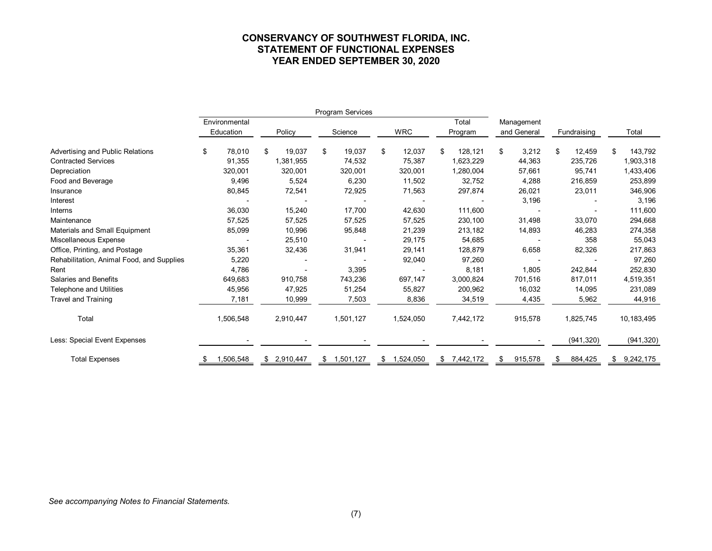### **CONSERVANCY OF SOUTHWEST FLORIDA, INC. STATEMENT OF FUNCTIONAL EXPENSES YEAR ENDED SEPTEMBER 30, 2020**

|                                           | Program Services |               |    |             |    |           |    |            |               |               |               |     |            |
|-------------------------------------------|------------------|---------------|----|-------------|----|-----------|----|------------|---------------|---------------|---------------|-----|------------|
|                                           |                  | Environmental |    |             |    |           |    |            | Total         | Management    |               |     |            |
|                                           |                  | Education     |    | Policy      |    | Science   |    | <b>WRC</b> | Program       | and General   | Fundraising   |     | Total      |
| Advertising and Public Relations          | \$               | 78,010        | \$ | 19,037      | \$ | 19,037    | \$ | 12,037     | \$<br>128,121 | \$<br>3,212   | \$<br>12,459  | \$. | 143,792    |
| <b>Contracted Services</b>                |                  | 91,355        |    | 1,381,955   |    | 74,532    |    | 75,387     | 1,623,229     | 44,363        | 235,726       |     | 1,903,318  |
| Depreciation                              |                  | 320,001       |    | 320,001     |    | 320,001   |    | 320,001    | 1,280,004     | 57,661        | 95,741        |     | 1,433,406  |
| Food and Beverage                         |                  | 9,496         |    | 5,524       |    | 6,230     |    | 11,502     | 32,752        | 4,288         | 216,859       |     | 253,899    |
| Insurance                                 |                  | 80,845        |    | 72,541      |    | 72,925    |    | 71,563     | 297,874       | 26,021        | 23,011        |     | 346,906    |
| Interest                                  |                  |               |    |             |    |           |    |            |               | 3,196         |               |     | 3,196      |
| Interns                                   |                  | 36,030        |    | 15,240      |    | 17,700    |    | 42,630     | 111,600       |               |               |     | 111,600    |
| Maintenance                               |                  | 57,525        |    | 57,525      |    | 57,525    |    | 57,525     | 230,100       | 31,498        | 33,070        |     | 294,668    |
| Materials and Small Equipment             |                  | 85,099        |    | 10,996      |    | 95,848    |    | 21,239     | 213,182       | 14,893        | 46,283        |     | 274,358    |
| Miscellaneous Expense                     |                  |               |    | 25,510      |    |           |    | 29,175     | 54,685        |               | 358           |     | 55,043     |
| Office, Printing, and Postage             |                  | 35,361        |    | 32,436      |    | 31,941    |    | 29,141     | 128,879       | 6,658         | 82,326        |     | 217,863    |
| Rehabilitation, Animal Food, and Supplies |                  | 5,220         |    |             |    |           |    | 92,040     | 97,260        |               |               |     | 97,260     |
| Rent                                      |                  | 4,786         |    |             |    | 3,395     |    |            | 8,181         | 1,805         | 242,844       |     | 252,830    |
| Salaries and Benefits                     |                  | 649,683       |    | 910,758     |    | 743,236   |    | 697,147    | 3,000,824     | 701,516       | 817,011       |     | 4,519,351  |
| <b>Telephone and Utilities</b>            |                  | 45,956        |    | 47,925      |    | 51,254    |    | 55,827     | 200,962       | 16,032        | 14,095        |     | 231,089    |
| <b>Travel and Training</b>                |                  | 7,181         |    | 10,999      |    | 7,503     |    | 8,836      | 34,519        | 4,435         | 5,962         |     | 44,916     |
| Total                                     |                  | 1,506,548     |    | 2,910,447   |    | 1,501,127 |    | 1,524,050  | 7,442,172     | 915,578       | 1,825,745     |     | 10,183,495 |
| Less: Special Event Expenses              |                  |               |    |             |    |           |    |            |               |               | (941, 320)    |     | (941, 320) |
| <b>Total Expenses</b>                     |                  | 1,506,548     |    | \$2,910,447 | \$ | 1,501,127 | \$ | 1,524,050  | \$7,442,172   | \$<br>915,578 | \$<br>884,425 |     | 9,242,175  |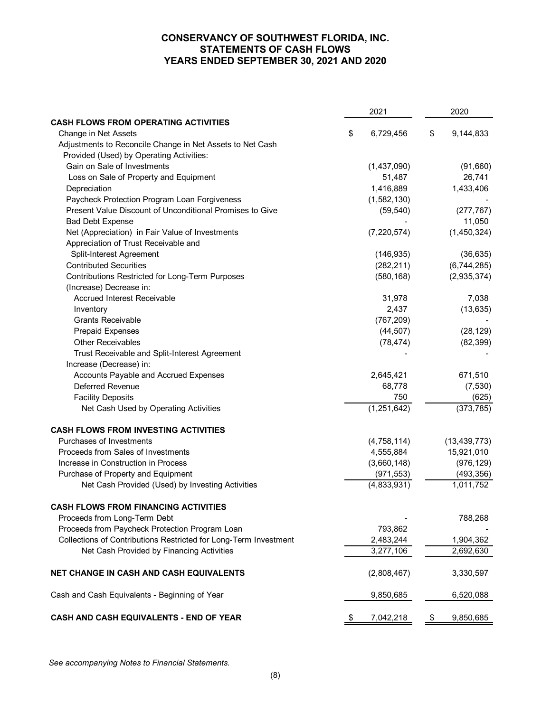### **CONSERVANCY OF SOUTHWEST FLORIDA, INC. STATEMENTS OF CASH FLOWS YEARS ENDED SEPTEMBER 30, 2021 AND 2020**

|                                                                  | 2021            | 2020                   |
|------------------------------------------------------------------|-----------------|------------------------|
| <b>CASH FLOWS FROM OPERATING ACTIVITIES</b>                      |                 |                        |
| Change in Net Assets                                             | \$<br>6,729,456 | \$<br>9,144,833        |
| Adjustments to Reconcile Change in Net Assets to Net Cash        |                 |                        |
| Provided (Used) by Operating Activities:                         |                 |                        |
| Gain on Sale of Investments                                      | (1,437,090)     | (91,660)               |
| Loss on Sale of Property and Equipment                           | 51,487          | 26,741                 |
| Depreciation                                                     | 1,416,889       | 1,433,406              |
| Paycheck Protection Program Loan Forgiveness                     | (1,582,130)     |                        |
| Present Value Discount of Unconditional Promises to Give         | (59, 540)       | (277, 767)             |
| <b>Bad Debt Expense</b>                                          |                 | 11,050                 |
| Net (Appreciation) in Fair Value of Investments                  | (7, 220, 574)   | (1,450,324)            |
| Appreciation of Trust Receivable and                             |                 |                        |
| Split-Interest Agreement                                         | (146, 935)      | (36, 635)              |
| <b>Contributed Securities</b>                                    | (282, 211)      | (6,744,285)            |
| Contributions Restricted for Long-Term Purposes                  | (580, 168)      | (2,935,374)            |
| (Increase) Decrease in:                                          |                 |                        |
| <b>Accrued Interest Receivable</b>                               | 31,978          | 7,038                  |
|                                                                  | 2,437           | (13, 635)              |
| Inventory<br><b>Grants Receivable</b>                            | (767, 209)      |                        |
|                                                                  |                 |                        |
| <b>Prepaid Expenses</b>                                          | (44, 507)       | (28, 129)              |
| <b>Other Receivables</b>                                         | (78, 474)       | (82, 399)              |
| Trust Receivable and Split-Interest Agreement                    |                 |                        |
| Increase (Decrease) in:                                          |                 |                        |
| Accounts Payable and Accrued Expenses                            | 2,645,421       | 671,510                |
| <b>Deferred Revenue</b>                                          | 68,778          | (7, 530)               |
| <b>Facility Deposits</b>                                         | 750             | (625)                  |
| Net Cash Used by Operating Activities                            | (1,251,642)     | (373, 785)             |
| <b>CASH FLOWS FROM INVESTING ACTIVITIES</b>                      |                 |                        |
| Purchases of Investments                                         | (4,758,114)     | (13, 439, 773)         |
| Proceeds from Sales of Investments                               | 4,555,884       | 15,921,010             |
| Increase in Construction in Process                              | (3,660,148)     | (976, 129)             |
| Purchase of Property and Equipment                               | (971, 553)      | (493, 356)             |
| Net Cash Provided (Used) by Investing Activities                 | (4,833,931)     | $\overline{1,}011,752$ |
| <b>CASH FLOWS FROM FINANCING ACTIVITIES</b>                      |                 |                        |
| Proceeds from Long-Term Debt                                     |                 | 788,268                |
| Proceeds from Paycheck Protection Program Loan                   | 793,862         |                        |
| Collections of Contributions Restricted for Long-Term Investment | 2,483,244       | 1,904,362              |
| Net Cash Provided by Financing Activities                        | 3,277,106       | 2,692,630              |
| <b>NET CHANGE IN CASH AND CASH EQUIVALENTS</b>                   | (2,808,467)     | 3,330,597              |
|                                                                  |                 |                        |
| Cash and Cash Equivalents - Beginning of Year                    | 9,850,685       | 6,520,088              |
| CASH AND CASH EQUIVALENTS - END OF YEAR                          | \$<br>7,042,218 | \$<br>9,850,685        |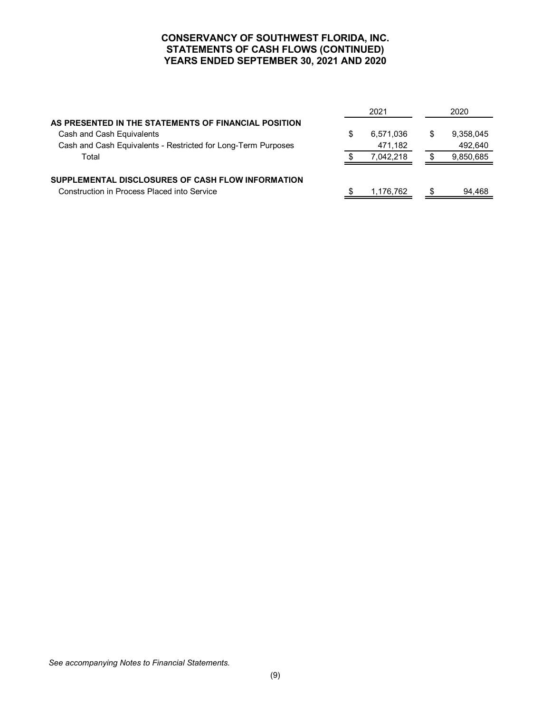### **CONSERVANCY OF SOUTHWEST FLORIDA, INC. STATEMENTS OF CASH FLOWS (CONTINUED) YEARS ENDED SEPTEMBER 30, 2021 AND 2020**

|                                                               |   | 2021      | 2020            |
|---------------------------------------------------------------|---|-----------|-----------------|
| AS PRESENTED IN THE STATEMENTS OF FINANCIAL POSITION          |   |           |                 |
| Cash and Cash Equivalents                                     | S | 6,571,036 | \$<br>9,358,045 |
| Cash and Cash Equivalents - Restricted for Long-Term Purposes |   | 471,182   | 492,640         |
| Total                                                         |   | 7.042.218 | 9,850,685       |
| SUPPLEMENTAL DISCLOSURES OF CASH FLOW INFORMATION             |   |           |                 |
| Construction in Process Placed into Service                   |   | 1,176,762 | 94.468          |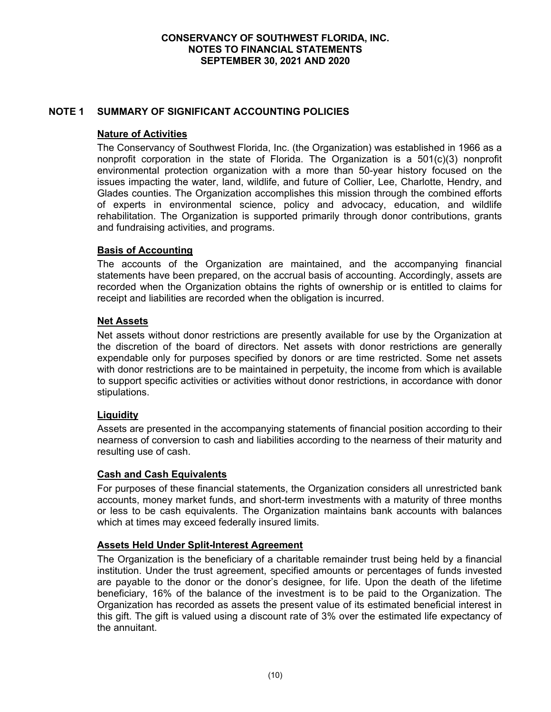### **NOTE 1 SUMMARY OF SIGNIFICANT ACCOUNTING POLICIES**

### **Nature of Activities**

The Conservancy of Southwest Florida, Inc. (the Organization) was established in 1966 as a nonprofit corporation in the state of Florida. The Organization is a 501(c)(3) nonprofit environmental protection organization with a more than 50-year history focused on the issues impacting the water, land, wildlife, and future of Collier, Lee, Charlotte, Hendry, and Glades counties. The Organization accomplishes this mission through the combined efforts of experts in environmental science, policy and advocacy, education, and wildlife rehabilitation. The Organization is supported primarily through donor contributions, grants and fundraising activities, and programs.

### **Basis of Accounting**

The accounts of the Organization are maintained, and the accompanying financial statements have been prepared, on the accrual basis of accounting. Accordingly, assets are recorded when the Organization obtains the rights of ownership or is entitled to claims for receipt and liabilities are recorded when the obligation is incurred.

### **Net Assets**

Net assets without donor restrictions are presently available for use by the Organization at the discretion of the board of directors. Net assets with donor restrictions are generally expendable only for purposes specified by donors or are time restricted. Some net assets with donor restrictions are to be maintained in perpetuity, the income from which is available to support specific activities or activities without donor restrictions, in accordance with donor stipulations.

### **Liquidity**

Assets are presented in the accompanying statements of financial position according to their nearness of conversion to cash and liabilities according to the nearness of their maturity and resulting use of cash.

### **Cash and Cash Equivalents**

For purposes of these financial statements, the Organization considers all unrestricted bank accounts, money market funds, and short-term investments with a maturity of three months or less to be cash equivalents. The Organization maintains bank accounts with balances which at times may exceed federally insured limits.

### **Assets Held Under Split-Interest Agreement**

The Organization is the beneficiary of a charitable remainder trust being held by a financial institution. Under the trust agreement, specified amounts or percentages of funds invested are payable to the donor or the donor's designee, for life. Upon the death of the lifetime beneficiary, 16% of the balance of the investment is to be paid to the Organization. The Organization has recorded as assets the present value of its estimated beneficial interest in this gift. The gift is valued using a discount rate of 3% over the estimated life expectancy of the annuitant.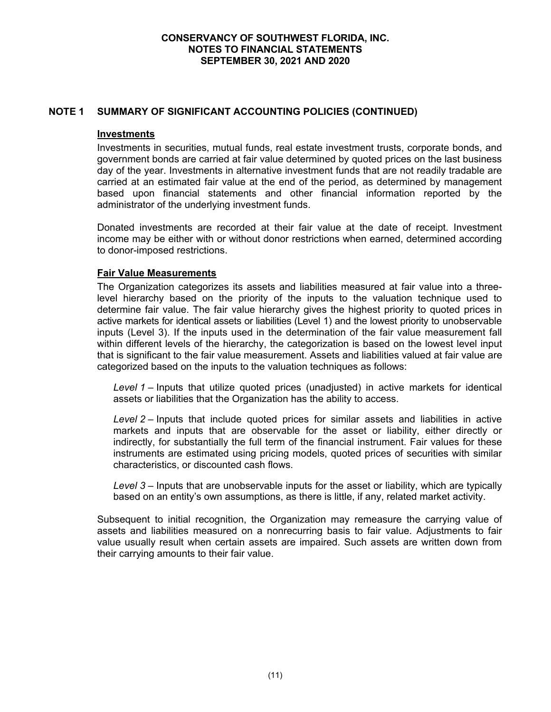### **NOTE 1 SUMMARY OF SIGNIFICANT ACCOUNTING POLICIES (CONTINUED)**

#### **Investments**

Investments in securities, mutual funds, real estate investment trusts, corporate bonds, and government bonds are carried at fair value determined by quoted prices on the last business day of the year. Investments in alternative investment funds that are not readily tradable are carried at an estimated fair value at the end of the period, as determined by management based upon financial statements and other financial information reported by the administrator of the underlying investment funds.

Donated investments are recorded at their fair value at the date of receipt. Investment income may be either with or without donor restrictions when earned, determined according to donor-imposed restrictions.

### **Fair Value Measurements**

The Organization categorizes its assets and liabilities measured at fair value into a threelevel hierarchy based on the priority of the inputs to the valuation technique used to determine fair value. The fair value hierarchy gives the highest priority to quoted prices in active markets for identical assets or liabilities (Level 1) and the lowest priority to unobservable inputs (Level 3). If the inputs used in the determination of the fair value measurement fall within different levels of the hierarchy, the categorization is based on the lowest level input that is significant to the fair value measurement. Assets and liabilities valued at fair value are categorized based on the inputs to the valuation techniques as follows:

*Level 1* – Inputs that utilize quoted prices (unadjusted) in active markets for identical assets or liabilities that the Organization has the ability to access.

*Level 2* – Inputs that include quoted prices for similar assets and liabilities in active markets and inputs that are observable for the asset or liability, either directly or indirectly, for substantially the full term of the financial instrument. Fair values for these instruments are estimated using pricing models, quoted prices of securities with similar characteristics, or discounted cash flows.

Level 3 – Inputs that are unobservable inputs for the asset or liability, which are typically based on an entity's own assumptions, as there is little, if any, related market activity.

Subsequent to initial recognition, the Organization may remeasure the carrying value of assets and liabilities measured on a nonrecurring basis to fair value. Adjustments to fair value usually result when certain assets are impaired. Such assets are written down from their carrying amounts to their fair value.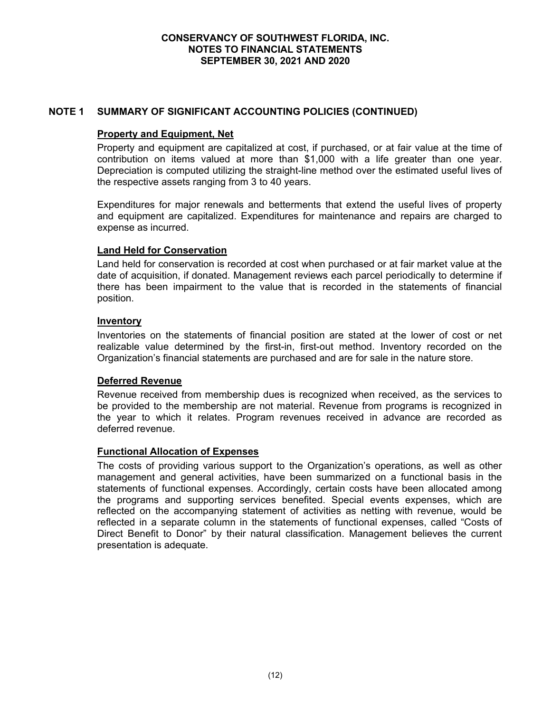### **NOTE 1 SUMMARY OF SIGNIFICANT ACCOUNTING POLICIES (CONTINUED)**

### **Property and Equipment, Net**

Property and equipment are capitalized at cost, if purchased, or at fair value at the time of contribution on items valued at more than \$1,000 with a life greater than one year. Depreciation is computed utilizing the straight-line method over the estimated useful lives of the respective assets ranging from 3 to 40 years.

Expenditures for major renewals and betterments that extend the useful lives of property and equipment are capitalized. Expenditures for maintenance and repairs are charged to expense as incurred.

### **Land Held for Conservation**

Land held for conservation is recorded at cost when purchased or at fair market value at the date of acquisition, if donated. Management reviews each parcel periodically to determine if there has been impairment to the value that is recorded in the statements of financial position.

### **Inventory**

Inventories on the statements of financial position are stated at the lower of cost or net realizable value determined by the first-in, first-out method. Inventory recorded on the Organization's financial statements are purchased and are for sale in the nature store.

### **Deferred Revenue**

Revenue received from membership dues is recognized when received, as the services to be provided to the membership are not material. Revenue from programs is recognized in the year to which it relates. Program revenues received in advance are recorded as deferred revenue.

### **Functional Allocation of Expenses**

The costs of providing various support to the Organization's operations, as well as other management and general activities, have been summarized on a functional basis in the statements of functional expenses. Accordingly, certain costs have been allocated among the programs and supporting services benefited. Special events expenses, which are reflected on the accompanying statement of activities as netting with revenue, would be reflected in a separate column in the statements of functional expenses, called "Costs of Direct Benefit to Donor" by their natural classification. Management believes the current presentation is adequate.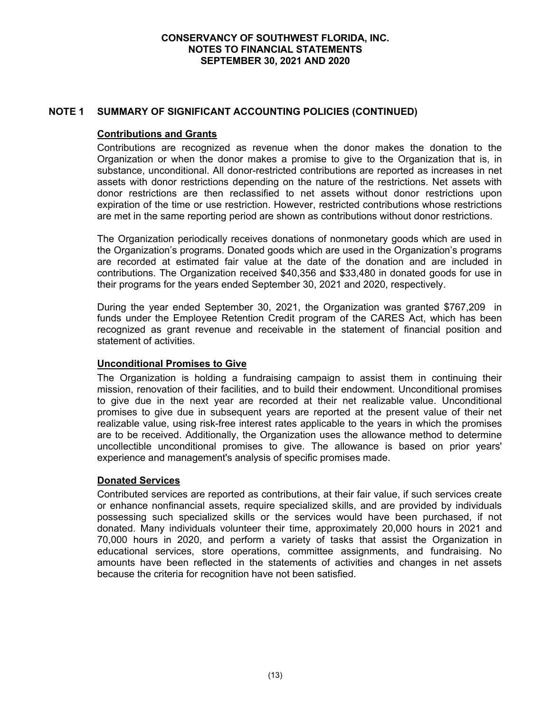### **NOTE 1 SUMMARY OF SIGNIFICANT ACCOUNTING POLICIES (CONTINUED)**

### **Contributions and Grants**

Contributions are recognized as revenue when the donor makes the donation to the Organization or when the donor makes a promise to give to the Organization that is, in substance, unconditional. All donor-restricted contributions are reported as increases in net assets with donor restrictions depending on the nature of the restrictions. Net assets with donor restrictions are then reclassified to net assets without donor restrictions upon expiration of the time or use restriction. However, restricted contributions whose restrictions are met in the same reporting period are shown as contributions without donor restrictions.

The Organization periodically receives donations of nonmonetary goods which are used in the Organization's programs. Donated goods which are used in the Organization's programs are recorded at estimated fair value at the date of the donation and are included in contributions. The Organization received \$40,356 and \$33,480 in donated goods for use in their programs for the years ended September 30, 2021 and 2020, respectively.

During the year ended September 30, 2021, the Organization was granted \$767,209 in funds under the Employee Retention Credit program of the CARES Act, which has been recognized as grant revenue and receivable in the statement of financial position and statement of activities.

### **Unconditional Promises to Give**

The Organization is holding a fundraising campaign to assist them in continuing their mission, renovation of their facilities, and to build their endowment. Unconditional promises to give due in the next year are recorded at their net realizable value. Unconditional promises to give due in subsequent years are reported at the present value of their net realizable value, using risk-free interest rates applicable to the years in which the promises are to be received. Additionally, the Organization uses the allowance method to determine uncollectible unconditional promises to give. The allowance is based on prior years' experience and management's analysis of specific promises made.

### **Donated Services**

Contributed services are reported as contributions, at their fair value, if such services create or enhance nonfinancial assets, require specialized skills, and are provided by individuals possessing such specialized skills or the services would have been purchased, if not donated. Many individuals volunteer their time, approximately 20,000 hours in 2021 and 70,000 hours in 2020, and perform a variety of tasks that assist the Organization in educational services, store operations, committee assignments, and fundraising. No amounts have been reflected in the statements of activities and changes in net assets because the criteria for recognition have not been satisfied.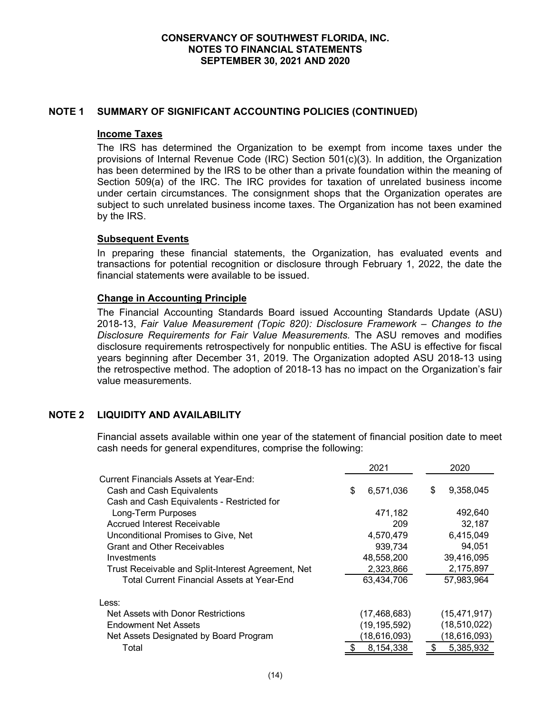### **NOTE 1 SUMMARY OF SIGNIFICANT ACCOUNTING POLICIES (CONTINUED)**

#### **Income Taxes**

The IRS has determined the Organization to be exempt from income taxes under the provisions of Internal Revenue Code (IRC) Section 501(c)(3). In addition, the Organization has been determined by the IRS to be other than a private foundation within the meaning of Section 509(a) of the IRC. The IRC provides for taxation of unrelated business income under certain circumstances. The consignment shops that the Organization operates are subject to such unrelated business income taxes. The Organization has not been examined by the IRS.

### **Subsequent Events**

In preparing these financial statements, the Organization, has evaluated events and transactions for potential recognition or disclosure through February 1, 2022, the date the financial statements were available to be issued.

### **Change in Accounting Principle**

The Financial Accounting Standards Board issued Accounting Standards Update (ASU) 2018-13, *Fair Value Measurement (Topic 820): Disclosure Framework – Changes to the Disclosure Requirements for Fair Value Measurements.* The ASU removes and modifies disclosure requirements retrospectively for nonpublic entities. The ASU is effective for fiscal years beginning after December 31, 2019. The Organization adopted ASU 2018-13 using the retrospective method. The adoption of 2018-13 has no impact on the Organization's fair value measurements.

### **NOTE 2 LIQUIDITY AND AVAILABILITY**

Financial assets available within one year of the statement of financial position date to meet cash needs for general expenditures, comprise the following:

| 2021            | 2020            |
|-----------------|-----------------|
|                 |                 |
| \$<br>6,571,036 | 9,358,045<br>\$ |
|                 |                 |
| 471,182         | 492,640         |
| 209             | 32,187          |
| 4,570,479       | 6,415,049       |
| 939,734         | 94,051          |
| 48,558,200      | 39,416,095      |
| 2,323,866       | 2,175,897       |
| 63,434,706      | 57,983,964      |
|                 |                 |
| (17, 468, 683)  | (15, 471, 917)  |
| (19, 195, 592)  | (18, 510, 022)  |
| (18, 616, 093)  | (18,616,093)    |
| 8,154,338       | 5,385,932       |
|                 |                 |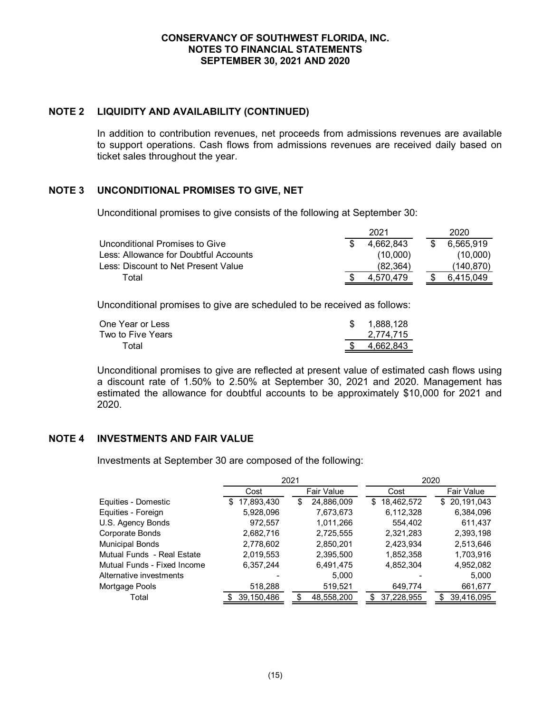### **NOTE 2 LIQUIDITY AND AVAILABILITY (CONTINUED)**

In addition to contribution revenues, net proceeds from admissions revenues are available to support operations. Cash flows from admissions revenues are received daily based on ticket sales throughout the year.

### **NOTE 3 UNCONDITIONAL PROMISES TO GIVE, NET**

Unconditional promises to give consists of the following at September 30:

|                                       | 2021      | 2020      |
|---------------------------------------|-----------|-----------|
| Unconditional Promises to Give        | 4.662.843 | 6.565.919 |
| Less: Allowance for Doubtful Accounts | (10.000)  | (10,000)  |
| Less: Discount to Net Present Value   | (82, 364) | (140.870) |
| Total                                 | 4.570.479 | 6.415.049 |

Unconditional promises to give are scheduled to be received as follows:

| One Year or Less  | 1.888.128 |
|-------------------|-----------|
| Two to Five Years | 2,774,715 |
| Total             | 4,662,843 |

Unconditional promises to give are reflected at present value of estimated cash flows using a discount rate of 1.50% to 2.50% at September 30, 2021 and 2020. Management has estimated the allowance for doubtful accounts to be approximately \$10,000 for 2021 and 2020.

### **NOTE 4 INVESTMENTS AND FAIR VALUE**

Investments at September 30 are composed of the following:

|                             |                  | 2021              | 2020             |                   |
|-----------------------------|------------------|-------------------|------------------|-------------------|
|                             | Cost             | <b>Fair Value</b> | Cost             | <b>Fair Value</b> |
| Equities - Domestic         | 17,893,430<br>S. | 24,886,009<br>\$  | \$18,462,572     | 20,191,043<br>\$  |
| Equities - Foreign          | 5,928,096        | 7,673,673         | 6,112,328        | 6,384,096         |
| U.S. Agency Bonds           | 972,557          | 1,011,266         | 554,402          | 611,437           |
| Corporate Bonds             | 2,682,716        | 2,725,555         | 2,321,283        | 2,393,198         |
| <b>Municipal Bonds</b>      | 2,778,602        | 2,850,201         | 2,423,934        | 2,513,646         |
| Mutual Funds - Real Estate  | 2,019,553        | 2,395,500         | 1,852,358        | 1,703,916         |
| Mutual Funds - Fixed Income | 6,357,244        | 6,491,475         | 4,852,304        | 4,952,082         |
| Alternative investments     |                  | 5,000             |                  | 5,000             |
| Mortgage Pools              | 518,288          | 519,521           | 649,774          | 661,677           |
| Total                       | 39,150,486       | 48,558,200        | 37,228,955<br>\$ | 39,416,095<br>S   |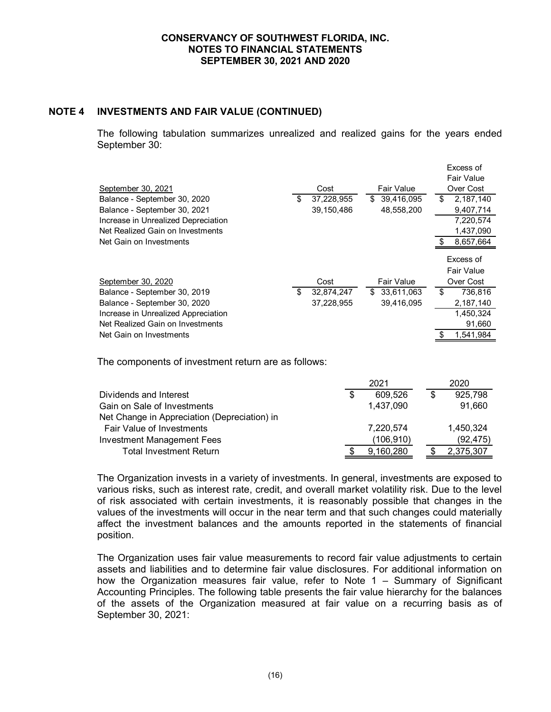### **NOTE 4 INVESTMENTS AND FAIR VALUE (CONTINUED)**

The following tabulation summarizes unrealized and realized gains for the years ended September 30:

|                                     |                  |                  | Excess of        |
|-------------------------------------|------------------|------------------|------------------|
|                                     |                  |                  | Fair Value       |
| September 30, 2021                  | Cost             | Fair Value       | Over Cost        |
| Balance - September 30, 2020        | \$<br>37,228,955 | \$ 39,416,095    | \$<br>2,187,140  |
| Balance - September 30, 2021        | 39,150,486       | 48,558,200       | 9,407,714        |
| Increase in Unrealized Depreciation |                  |                  | 7,220,574        |
| Net Realized Gain on Investments    |                  |                  | 1,437,090        |
| Net Gain on Investments             |                  |                  | 8,657,664        |
|                                     |                  |                  |                  |
|                                     |                  |                  | <b>Excess of</b> |
|                                     |                  |                  | Fair Value       |
| September 30, 2020                  | Cost             | Fair Value       | Over Cost        |
| Balance - September 30, 2019        | \$<br>32,874,247 | 33,611,063<br>\$ | \$<br>736,816    |
| Balance - September 30, 2020        | 37,228,955       | 39,416,095       | 2,187,140        |
| Increase in Unrealized Appreciation |                  |                  | 1,450,324        |
| Net Realized Gain on Investments    |                  |                  | 91,660           |

The components of investment return are as follows:

|                                              | 2021          | 2020      |
|----------------------------------------------|---------------|-----------|
| Dividends and Interest                       | \$<br>609,526 | 925,798   |
| Gain on Sale of Investments                  | 1,437,090     | 91,660    |
| Net Change in Appreciation (Depreciation) in |               |           |
| Fair Value of Investments                    | 7,220,574     | 1,450,324 |
| <b>Investment Management Fees</b>            | (106, 910)    | (92, 475) |
| <b>Total Investment Return</b>               | 9,160,280     | 2,375,307 |

The Organization invests in a variety of investments. In general, investments are exposed to various risks, such as interest rate, credit, and overall market volatility risk. Due to the level of risk associated with certain investments, it is reasonably possible that changes in the values of the investments will occur in the near term and that such changes could materially affect the investment balances and the amounts reported in the statements of financial position.

The Organization uses fair value measurements to record fair value adjustments to certain assets and liabilities and to determine fair value disclosures. For additional information on how the Organization measures fair value, refer to Note 1 – Summary of Significant Accounting Principles. The following table presents the fair value hierarchy for the balances of the assets of the Organization measured at fair value on a recurring basis as of September 30, 2021: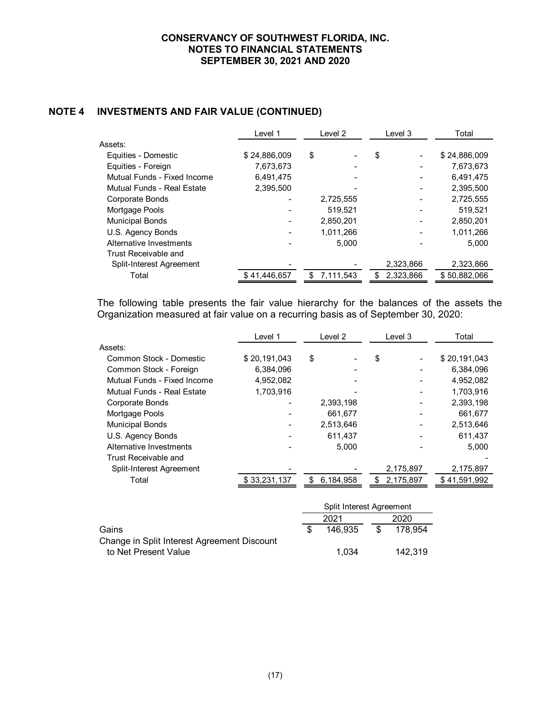# **NOTE 4 INVESTMENTS AND FAIR VALUE (CONTINUED)**

|                             | Level 1      | Level 2         | Level 3   | Total        |
|-----------------------------|--------------|-----------------|-----------|--------------|
| Assets:                     |              |                 |           |              |
| Equities - Domestic         | \$24,886,009 | \$              | \$        | \$24,886,009 |
| Equities - Foreign          | 7,673,673    |                 |           | 7,673,673    |
| Mutual Funds - Fixed Income | 6,491,475    |                 |           | 6,491,475    |
| Mutual Funds - Real Estate  | 2,395,500    |                 |           | 2,395,500    |
| Corporate Bonds             |              | 2,725,555       |           | 2,725,555    |
| Mortgage Pools              |              | 519,521         |           | 519,521      |
| <b>Municipal Bonds</b>      |              | 2,850,201       |           | 2,850,201    |
| U.S. Agency Bonds           |              | 1,011,266       |           | 1,011,266    |
| Alternative Investments     |              | 5.000           |           | 5,000        |
| Trust Receivable and        |              |                 |           |              |
| Split-Interest Agreement    |              |                 | 2,323,866 | 2,323,866    |
| Total                       | \$41.446.657 | 7,111,543<br>\$ | 2,323,866 | \$50,882,066 |

The following table presents the fair value hierarchy for the balances of the assets the Organization measured at fair value on a recurring basis as of September 30, 2020:

|                             | Level 1      | Level 2         | Level 3                  | Total        |
|-----------------------------|--------------|-----------------|--------------------------|--------------|
| Assets:                     |              |                 |                          |              |
| Common Stock - Domestic     | \$20.191.043 | \$              | \$                       | \$20,191,043 |
| Common Stock - Foreign      | 6,384,096    |                 |                          | 6,384,096    |
| Mutual Funds - Fixed Income | 4,952,082    |                 |                          | 4,952,082    |
| Mutual Funds - Real Estate  | 1,703,916    |                 |                          | 1.703.916    |
| Corporate Bonds             |              | 2,393,198       |                          | 2,393,198    |
| Mortgage Pools              |              | 661.677         |                          | 661.677      |
| <b>Municipal Bonds</b>      |              | 2,513,646       |                          | 2,513,646    |
| U.S. Agency Bonds           |              | 611,437         |                          | 611,437      |
| Alternative Investments     |              | 5,000           |                          | 5,000        |
| Trust Receivable and        |              |                 |                          |              |
| Split-Interest Agreement    |              |                 | 2,175,897                | 2,175,897    |
| Total                       | \$33,231,137 | \$<br>6,184,958 | 2,175,897<br>\$          | \$41,591,992 |
|                             |              |                 | Split Interest Agreement |              |

|                                             | Split Interest Agreement |     |         |  |
|---------------------------------------------|--------------------------|-----|---------|--|
|                                             | 2021                     |     | 2020    |  |
| Gains                                       | 146.935                  | -\$ | 178.954 |  |
| Change in Split Interest Agreement Discount |                          |     |         |  |
| to Net Present Value                        | 1.034                    |     | 142.319 |  |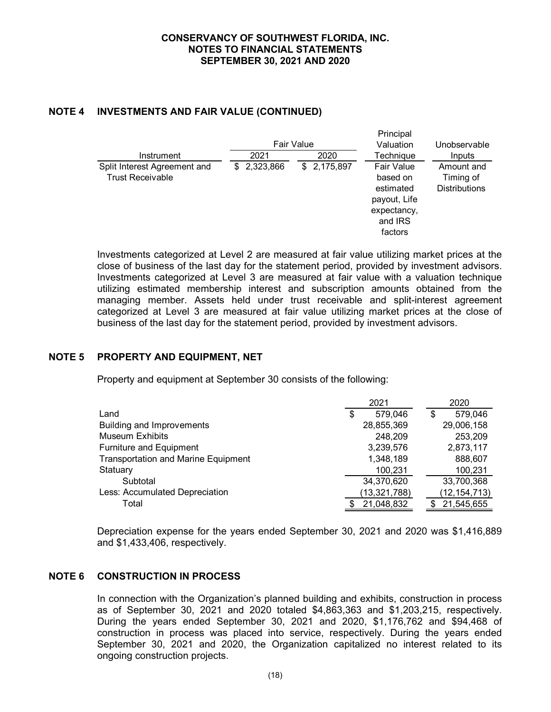### **NOTE 4 INVESTMENTS AND FAIR VALUE (CONTINUED)**

|                              |                 | <b>Fair Value</b> | PHICIDAL<br>Valuation | Unobservable         |
|------------------------------|-----------------|-------------------|-----------------------|----------------------|
| Instrument                   | 2021            | 2020              | Technique             | Inputs               |
| Split Interest Agreement and | 2,323,866<br>\$ | \$2,175,897       | Fair Value            | Amount and           |
| <b>Trust Receivable</b>      |                 |                   | based on              | Timing of            |
|                              |                 |                   | estimated             | <b>Distributions</b> |
|                              |                 |                   | payout, Life          |                      |
|                              |                 |                   | expectancy,           |                      |
|                              |                 |                   | and IRS               |                      |
|                              |                 |                   | factors               |                      |
|                              |                 |                   |                       |                      |

Principal

Investments categorized at Level 2 are measured at fair value utilizing market prices at the close of business of the last day for the statement period, provided by investment advisors. Investments categorized at Level 3 are measured at fair value with a valuation technique utilizing estimated membership interest and subscription amounts obtained from the managing member. Assets held under trust receivable and split-interest agreement categorized at Level 3 are measured at fair value utilizing market prices at the close of business of the last day for the statement period, provided by investment advisors.

### **NOTE 5 PROPERTY AND EQUIPMENT, NET**

Property and equipment at September 30 consists of the following:

|                                            | 2021           | 2020           |
|--------------------------------------------|----------------|----------------|
| Land                                       | 579,046<br>\$  | 579,046        |
| <b>Building and Improvements</b>           | 28,855,369     | 29,006,158     |
| Museum Exhibits                            | 248,209        | 253,209        |
| <b>Furniture and Equipment</b>             | 3,239,576      | 2,873,117      |
| <b>Transportation and Marine Equipment</b> | 1,348,189      | 888,607        |
| Statuary                                   | 100,231        | 100,231        |
| Subtotal                                   | 34,370,620     | 33,700,368     |
| Less: Accumulated Depreciation             | (13, 321, 788) | (12, 154, 713) |
| Total                                      | 21,048,832     | 21,545,655     |

Depreciation expense for the years ended September 30, 2021 and 2020 was \$1,416,889 and \$1,433,406, respectively.

### **NOTE 6 CONSTRUCTION IN PROCESS**

In connection with the Organization's planned building and exhibits, construction in process as of September 30, 2021 and 2020 totaled \$4,863,363 and \$1,203,215, respectively. During the years ended September 30, 2021 and 2020, \$1,176,762 and \$94,468 of construction in process was placed into service, respectively. During the years ended September 30, 2021 and 2020, the Organization capitalized no interest related to its ongoing construction projects.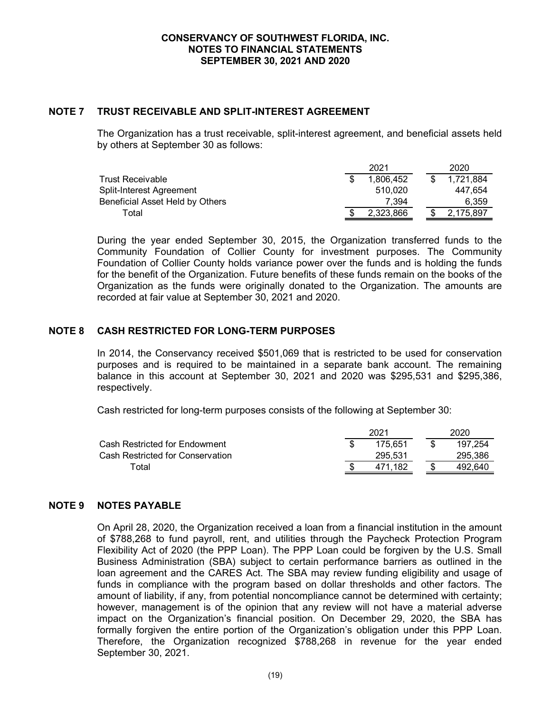### **NOTE 7 TRUST RECEIVABLE AND SPLIT-INTEREST AGREEMENT**

The Organization has a trust receivable, split-interest agreement, and beneficial assets held by others at September 30 as follows:

|                                 | 2021      |  | 2020      |
|---------------------------------|-----------|--|-----------|
| Trust Receivable                | 1,806,452 |  | 1,721,884 |
| Split-Interest Agreement        | 510.020   |  | 447.654   |
| Beneficial Asset Held by Others | 7.394     |  | 6.359     |
| Total                           | 2,323,866 |  | 2.175.897 |

During the year ended September 30, 2015, the Organization transferred funds to the Community Foundation of Collier County for investment purposes. The Community Foundation of Collier County holds variance power over the funds and is holding the funds for the benefit of the Organization. Future benefits of these funds remain on the books of the Organization as the funds were originally donated to the Organization. The amounts are recorded at fair value at September 30, 2021 and 2020.

### **NOTE 8 CASH RESTRICTED FOR LONG-TERM PURPOSES**

In 2014, the Conservancy received \$501,069 that is restricted to be used for conservation purposes and is required to be maintained in a separate bank account. The remaining balance in this account at September 30, 2021 and 2020 was \$295,531 and \$295,386, respectively.

Cash restricted for long-term purposes consists of the following at September 30:

| 2021 |         | 2020    |  |
|------|---------|---------|--|
|      | 175.651 | 197.254 |  |
|      | 295.531 | 295.386 |  |
|      | 471.182 | 492.640 |  |
|      |         |         |  |

### **NOTE 9 NOTES PAYABLE**

On April 28, 2020, the Organization received a loan from a financial institution in the amount of \$788,268 to fund payroll, rent, and utilities through the Paycheck Protection Program Flexibility Act of 2020 (the PPP Loan). The PPP Loan could be forgiven by the U.S. Small Business Administration (SBA) subject to certain performance barriers as outlined in the loan agreement and the CARES Act. The SBA may review funding eligibility and usage of funds in compliance with the program based on dollar thresholds and other factors. The amount of liability, if any, from potential noncompliance cannot be determined with certainty; however, management is of the opinion that any review will not have a material adverse impact on the Organization's financial position. On December 29, 2020, the SBA has formally forgiven the entire portion of the Organization's obligation under this PPP Loan. Therefore, the Organization recognized \$788,268 in revenue for the year ended September 30, 2021.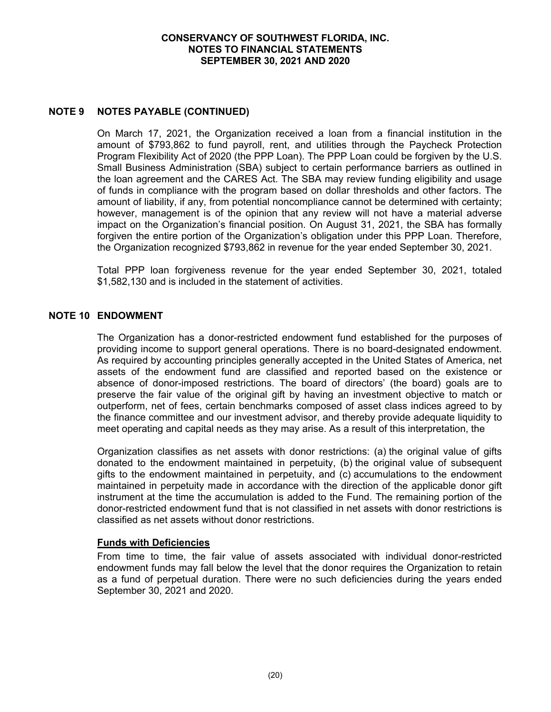### **NOTE 9 NOTES PAYABLE (CONTINUED)**

On March 17, 2021, the Organization received a loan from a financial institution in the amount of \$793,862 to fund payroll, rent, and utilities through the Paycheck Protection Program Flexibility Act of 2020 (the PPP Loan). The PPP Loan could be forgiven by the U.S. Small Business Administration (SBA) subject to certain performance barriers as outlined in the loan agreement and the CARES Act. The SBA may review funding eligibility and usage of funds in compliance with the program based on dollar thresholds and other factors. The amount of liability, if any, from potential noncompliance cannot be determined with certainty; however, management is of the opinion that any review will not have a material adverse impact on the Organization's financial position. On August 31, 2021, the SBA has formally forgiven the entire portion of the Organization's obligation under this PPP Loan. Therefore, the Organization recognized \$793,862 in revenue for the year ended September 30, 2021.

Total PPP loan forgiveness revenue for the year ended September 30, 2021, totaled \$1,582,130 and is included in the statement of activities.

### **NOTE 10 ENDOWMENT**

The Organization has a donor-restricted endowment fund established for the purposes of providing income to support general operations. There is no board-designated endowment. As required by accounting principles generally accepted in the United States of America, net assets of the endowment fund are classified and reported based on the existence or absence of donor-imposed restrictions. The board of directors' (the board) goals are to preserve the fair value of the original gift by having an investment objective to match or outperform, net of fees, certain benchmarks composed of asset class indices agreed to by the finance committee and our investment advisor, and thereby provide adequate liquidity to meet operating and capital needs as they may arise. As a result of this interpretation, the

Organization classifies as net assets with donor restrictions: (a) the original value of gifts donated to the endowment maintained in perpetuity, (b) the original value of subsequent gifts to the endowment maintained in perpetuity, and (c) accumulations to the endowment maintained in perpetuity made in accordance with the direction of the applicable donor gift instrument at the time the accumulation is added to the Fund. The remaining portion of the donor-restricted endowment fund that is not classified in net assets with donor restrictions is classified as net assets without donor restrictions.

### **Funds with Deficiencies**

From time to time, the fair value of assets associated with individual donor-restricted endowment funds may fall below the level that the donor requires the Organization to retain as a fund of perpetual duration. There were no such deficiencies during the years ended September 30, 2021 and 2020.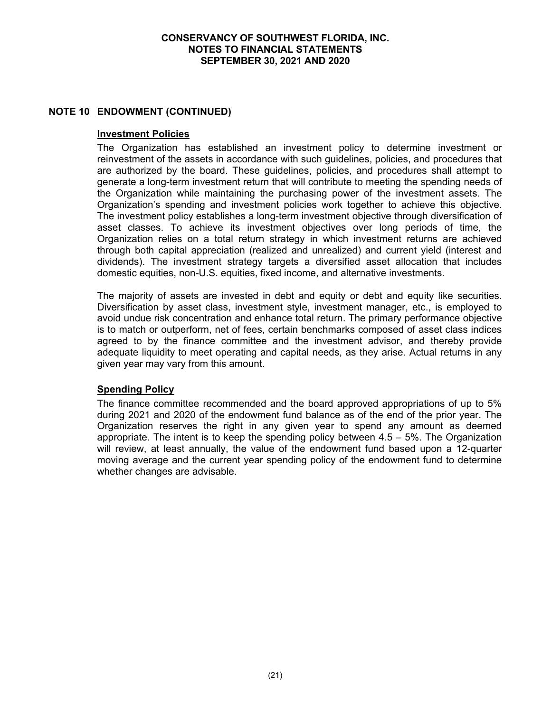### **NOTE 10 ENDOWMENT (CONTINUED)**

#### **Investment Policies**

The Organization has established an investment policy to determine investment or reinvestment of the assets in accordance with such guidelines, policies, and procedures that are authorized by the board. These guidelines, policies, and procedures shall attempt to generate a long-term investment return that will contribute to meeting the spending needs of the Organization while maintaining the purchasing power of the investment assets. The Organization's spending and investment policies work together to achieve this objective. The investment policy establishes a long-term investment objective through diversification of asset classes. To achieve its investment objectives over long periods of time, the Organization relies on a total return strategy in which investment returns are achieved through both capital appreciation (realized and unrealized) and current yield (interest and dividends). The investment strategy targets a diversified asset allocation that includes domestic equities, non-U.S. equities, fixed income, and alternative investments.

The majority of assets are invested in debt and equity or debt and equity like securities. Diversification by asset class, investment style, investment manager, etc., is employed to avoid undue risk concentration and enhance total return. The primary performance objective is to match or outperform, net of fees, certain benchmarks composed of asset class indices agreed to by the finance committee and the investment advisor, and thereby provide adequate liquidity to meet operating and capital needs, as they arise. Actual returns in any given year may vary from this amount.

### **Spending Policy**

The finance committee recommended and the board approved appropriations of up to 5% during 2021 and 2020 of the endowment fund balance as of the end of the prior year. The Organization reserves the right in any given year to spend any amount as deemed appropriate. The intent is to keep the spending policy between  $4.5 - 5\%$ . The Organization will review, at least annually, the value of the endowment fund based upon a 12-quarter moving average and the current year spending policy of the endowment fund to determine whether changes are advisable.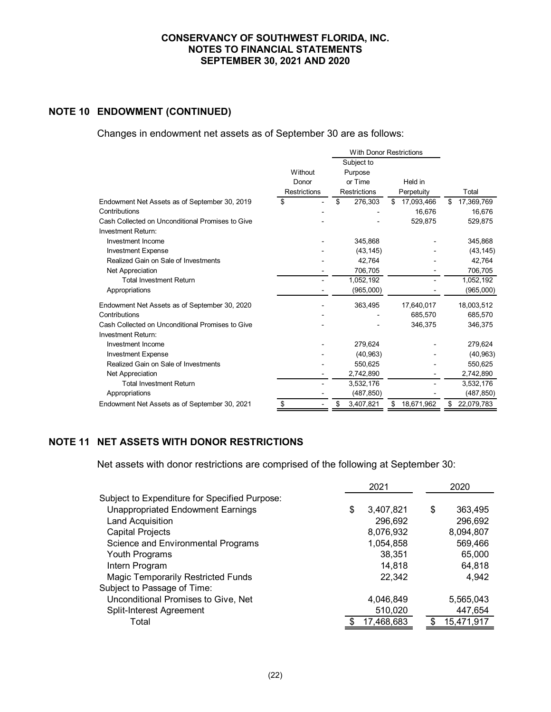# **NOTE 10 ENDOWMENT (CONTINUED)**

Changes in endowment net assets as of September 30 are as follows:

|                                                  |                     | <b>With Donor Restrictions</b> |                  |                  |
|--------------------------------------------------|---------------------|--------------------------------|------------------|------------------|
|                                                  |                     | Subject to                     |                  |                  |
|                                                  | Without             | Purpose                        |                  |                  |
|                                                  | Donor               | or Time                        | Held in          |                  |
|                                                  | <b>Restrictions</b> | Restrictions                   | Perpetuity       | Total            |
| Endowment Net Assets as of September 30, 2019    | S                   | 276,303<br>\$                  | 17,093,466       | \$<br>17,369,769 |
| Contributions                                    |                     |                                | 16,676           | 16,676           |
| Cash Collected on Unconditional Promises to Give |                     |                                | 529,875          | 529,875          |
| Investment Return:                               |                     |                                |                  |                  |
| Investment Income                                |                     | 345,868                        |                  | 345,868          |
| <b>Investment Expense</b>                        |                     | (43, 145)                      |                  | (43, 145)        |
| Realized Gain on Sale of Investments             |                     | 42,764                         |                  | 42,764           |
| Net Appreciation                                 |                     | 706,705                        |                  | 706,705          |
| <b>Total Investment Return</b>                   |                     | 1,052,192                      |                  | 1,052,192        |
| Appropriations                                   |                     | (965,000)                      |                  | (965,000)        |
| Endowment Net Assets as of September 30, 2020    |                     | 363,495                        | 17,640,017       | 18,003,512       |
| Contributions                                    |                     |                                | 685,570          | 685,570          |
| Cash Collected on Unconditional Promises to Give |                     |                                | 346,375          | 346,375          |
| Investment Return:                               |                     |                                |                  |                  |
| Investment Income                                |                     | 279,624                        |                  | 279,624          |
| <b>Investment Expense</b>                        |                     | (40, 963)                      |                  | (40, 963)        |
| Realized Gain on Sale of Investments             |                     | 550,625                        |                  | 550,625          |
| Net Appreciation                                 |                     | 2,742,890                      |                  | 2,742,890        |
| <b>Total Investment Return</b>                   |                     | 3,532,176                      |                  | 3,532,176        |
| Appropriations                                   |                     | (487, 850)                     |                  | (487, 850)       |
| Endowment Net Assets as of September 30, 2021    |                     | \$<br>3,407,821                | \$<br>18,671,962 | 22,079,783<br>\$ |

# **NOTE 11 NET ASSETS WITH DONOR RESTRICTIONS**

Net assets with donor restrictions are comprised of the following at September 30:

|                                               | 2021            | 2020          |
|-----------------------------------------------|-----------------|---------------|
| Subject to Expenditure for Specified Purpose: |                 |               |
| <b>Unappropriated Endowment Earnings</b>      | \$<br>3,407,821 | \$<br>363,495 |
| Land Acquisition                              | 296,692         | 296,692       |
| Capital Projects                              | 8,076,932       | 8,094,807     |
| Science and Environmental Programs            | 1,054,858       | 569,466       |
| Youth Programs                                | 38,351          | 65,000        |
| Intern Program                                | 14,818          | 64,818        |
| <b>Magic Temporarily Restricted Funds</b>     | 22,342          | 4,942         |
| Subject to Passage of Time:                   |                 |               |
| Unconditional Promises to Give, Net           | 4,046,849       | 5,565,043     |
| Split-Interest Agreement                      | 510,020         | 447,654       |
| Total                                         | 17,468,683      | 15,471,917    |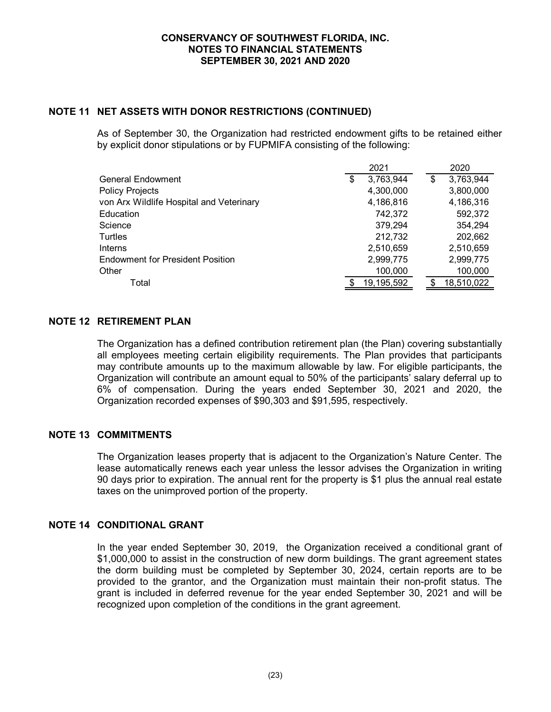### **NOTE 11 NET ASSETS WITH DONOR RESTRICTIONS (CONTINUED)**

As of September 30, the Organization had restricted endowment gifts to be retained either by explicit donor stipulations or by FUPMIFA consisting of the following:

|                                          | 2021            |    | 2020       |
|------------------------------------------|-----------------|----|------------|
| <b>General Endowment</b>                 | \$<br>3,763,944 | \$ | 3,763,944  |
| <b>Policy Projects</b>                   | 4,300,000       |    | 3,800,000  |
| von Arx Wildlife Hospital and Veterinary | 4,186,816       |    | 4,186,316  |
| Education                                | 742,372         |    | 592,372    |
| Science                                  | 379,294         |    | 354,294    |
| Turtles                                  | 212,732         |    | 202,662    |
| Interns                                  | 2,510,659       |    | 2,510,659  |
| <b>Endowment for President Position</b>  | 2,999,775       |    | 2,999,775  |
| Other                                    | 100,000         |    | 100,000    |
| Total                                    | 19,195,592      |    | 18,510,022 |

## **NOTE 12 RETIREMENT PLAN**

The Organization has a defined contribution retirement plan (the Plan) covering substantially all employees meeting certain eligibility requirements. The Plan provides that participants may contribute amounts up to the maximum allowable by law. For eligible participants, the Organization will contribute an amount equal to 50% of the participants' salary deferral up to 6% of compensation. During the years ended September 30, 2021 and 2020, the Organization recorded expenses of \$90,303 and \$91,595, respectively.

### **NOTE 13 COMMITMENTS**

The Organization leases property that is adjacent to the Organization's Nature Center. The lease automatically renews each year unless the lessor advises the Organization in writing 90 days prior to expiration. The annual rent for the property is \$1 plus the annual real estate taxes on the unimproved portion of the property.

### **NOTE 14 CONDITIONAL GRANT**

In the year ended September 30, 2019, the Organization received a conditional grant of \$1,000,000 to assist in the construction of new dorm buildings. The grant agreement states the dorm building must be completed by September 30, 2024, certain reports are to be provided to the grantor, and the Organization must maintain their non-profit status. The grant is included in deferred revenue for the year ended September 30, 2021 and will be recognized upon completion of the conditions in the grant agreement.